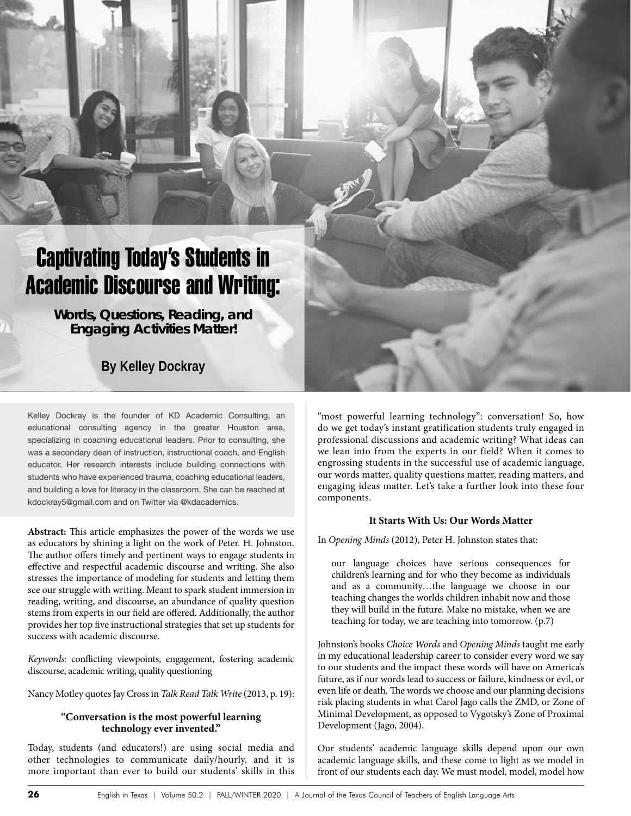# Captivating Today's Students in Academic Discourse and Writing:

**Words, Questions, Reading, and Engaging Activities Matter!**

# **By Kelley Dockray**

Kelley Dockray is the founder of KD Academic Consulting, an educational consulting agency in the greater Houston area, specializing in coaching educational leaders. Prior to consulting, she was a secondary dean of instruction, instructional coach, and English educator. Her research interests include building connections with students who have experienced trauma, coaching educational leaders, and building a love for literacy in the classroom. She can be reached at kdockray5@gmail.com and on Twitter via @kdacademics.

**Abstract:** This article emphasizes the power of the words we use as educators by shining a light on the work of Peter. H. Johnston. The author offers timely and pertinent ways to engage students in effective and respectful academic discourse and writing. She also stresses the importance of modeling for students and letting them see our struggle with writing. Meant to spark student immersion in reading, writing, and discourse, an abundance of quality question stems from experts in our field are offered. Additionally, the author provides her top five instructional strategies that set up students for success with academic discourse.

*Keywords:* conflicting viewpoints, engagement, fostering academic discourse, academic writing, quality questioning

Nancy Motley quotes Jay Cross in *Talk Read Talk Write* (2013, p. 19):

# **"Conversation is the most powerful learning technology ever invented."**

Today, students (and educators!) are using social media and other technologies to communicate daily/hourly, and it is more important than ever to build our students' skills in this "most powerful learning technology": conversation! So, how do we get today's instant gratification students truly engaged in professional discussions and academic writing? What ideas can we lean into from the experts in our field? When it comes to engrossing students in the successful use of academic language, our words matter, quality questions matter, reading matters, and engaging ideas matter. Let's take a further look into these four components.

# **It Starts With Us: Our Words Matter**

In *Opening Minds* (2012), Peter H. Johnston states that:

our language choices have serious consequences for children's learning and for who they become as individuals and as a community…the language we choose in our teaching changes the worlds children inhabit now and those they will build in the future. Make no mistake, when we are teaching for today, we are teaching into tomorrow. (p.7)

Johnston's books *Choice Words* and *Opening Minds* taught me early in my educational leadership career to consider every word we say to our students and the impact these words will have on America's future, as if our words lead to success or failure, kindness or evil, or even life or death. The words we choose and our planning decisions risk placing students in what Carol Jago calls the ZMD, or Zone of Minimal Development, as opposed to Vygotsky's Zone of Proximal Development (Jago, 2004).

Our students' academic language skills depend upon our own academic language skills, and these come to light as we model in front of our students each day. We must model, model, model how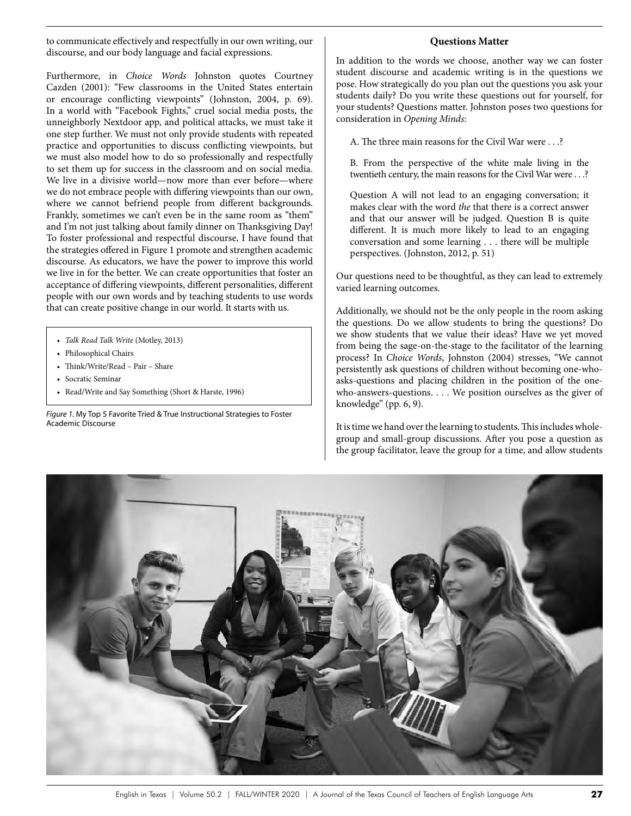to communicate effectively and respectfully in our own writing, our discourse, and our body language and facial expressions.

Furthermore, in *Choice Words* Johnston quotes Courtney Cazden (2001): "Few classrooms in the United States entertain or encourage conflicting viewpoints" (Johnston, 2004, p. 69). In a world with "Facebook Fights," cruel social media posts, the unneighborly Nextdoor app, and political attacks, we must take it one step further. We must not only provide students with repeated practice and opportunities to discuss conflicting viewpoints, but we must also model how to do so professionally and respectfully to set them up for success in the classroom and on social media. We live in a divisive world—now more than ever before—where we do not embrace people with differing viewpoints than our own, where we cannot befriend people from different backgrounds. Frankly, sometimes we can't even be in the same room as "them" and I'm not just talking about family dinner on Thanksgiving Day! To foster professional and respectful discourse, I have found that the strategies offered in Figure 1 promote and strengthen academic discourse. As educators, we have the power to improve this world we live in for the better. We can create opportunities that foster an acceptance of differing viewpoints, different personalities, different people with our own words and by teaching students to use words that can create positive change in our world. It starts with us.

- *• Talk Read Talk Write* (Motley, 2013)
- Philosophical Chairs
- Think/Write/Read Pair Share
- Socratic Seminar
- Read/Write and Say Something (Short & Harste, 1996)

*Figure 1.* My Top 5 Favorite Tried & True Instructional Strategies to Foster Academic Discourse

#### **Questions Matter**

In addition to the words we choose, another way we can foster student discourse and academic writing is in the questions we pose. How strategically do you plan out the questions you ask your students daily? Do you write these questions out for yourself, for your students? Questions matter. Johnston poses two questions for consideration in *Opening Minds*:

A. The three main reasons for the Civil War were . . .?

B. From the perspective of the white male living in the twentieth century, the main reasons for the Civil War were . . .?

Question A will not lead to an engaging conversation; it makes clear with the word *the* that there is a correct answer and that our answer will be judged. Question B is quite different. It is much more likely to lead to an engaging conversation and some learning . . . there will be multiple perspectives. (Johnston, 2012, p. 51)

Our questions need to be thoughtful, as they can lead to extremely varied learning outcomes.

Additionally, we should not be the only people in the room asking the questions. Do we allow students to bring the questions? Do we show students that we value their ideas? Have we yet moved from being the sage-on-the-stage to the facilitator of the learning process? In *Choice Words*, Johnston (2004) stresses, "We cannot persistently ask questions of children without becoming one-whoasks-questions and placing children in the position of the onewho-answers-questions. . . . We position ourselves as the giver of knowledge" (pp. 6, 9).

It is time we hand over the learning to students. This includes wholegroup and small-group discussions. After you pose a question as the group facilitator, leave the group for a time, and allow students

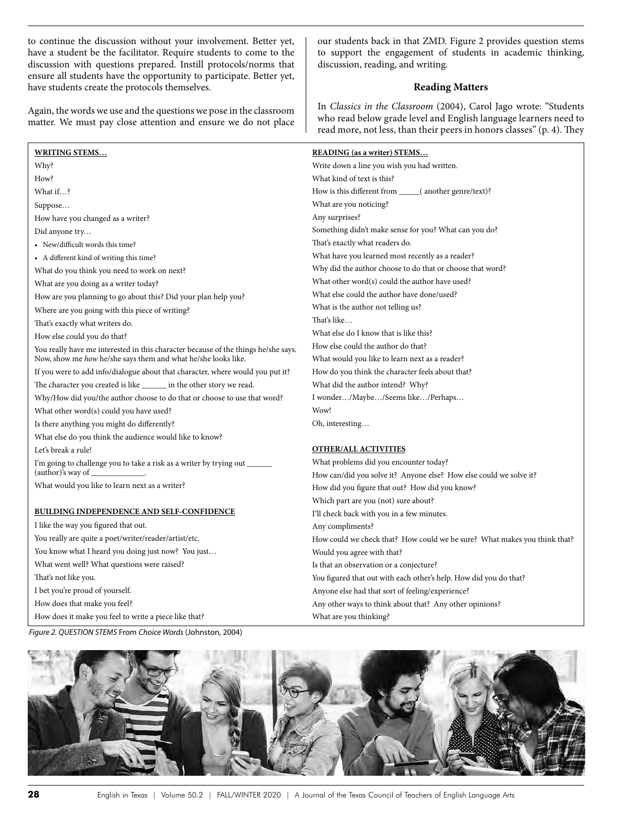to continue the discussion without your involvement. Better yet, have a student be the facilitator. Require students to come to the discussion with questions prepared. Instill protocols/norms that ensure all students have the opportunity to participate. Better yet, have students create the protocols themselves.

Again, the words we use and the questions we pose in the classroom matter. We must pay close attention and ensure we do not place our students back in that ZMD. Figure 2 provides question stems to support the engagement of students in academic thinking, discussion, reading, and writing.

#### **Reading Matters**

In *Classics in the Classroom* (2004), Carol Jago wrote: "Students who read below grade level and English language learners need to read more, not less, than their peers in honors classes" (p. 4). They

| <b>WRITING STEMS</b>                                                               | <b>READING</b> (as a writer) STEMS                                        |
|------------------------------------------------------------------------------------|---------------------------------------------------------------------------|
| Why?                                                                               | Write down a line you wish you had written.                               |
| How?                                                                               | What kind of text is this?                                                |
| What if?                                                                           | How is this different from ________( another genre/text)?                 |
| Suppose                                                                            | What are you noticing?                                                    |
| How have you changed as a writer?                                                  | Any surprises?                                                            |
| Did anyone try                                                                     | Something didn't make sense for you? What can you do?                     |
| • New/difficult words this time?                                                   | That's exactly what readers do.                                           |
| • A different kind of writing this time?                                           | What have you learned most recently as a reader?                          |
| What do you think you need to work on next?                                        | Why did the author choose to do that or choose that word?                 |
| What are you doing as a writer today?                                              | What other word(s) could the author have used?                            |
| How are you planning to go about this? Did your plan help you?                     | What else could the author have done/used?                                |
| Where are you going with this piece of writing?                                    | What is the author not telling us?                                        |
| That's exactly what writers do.                                                    | That's like                                                               |
| How else could you do that?                                                        | What else do I know that is like this?                                    |
| You really have me interested in this character because of the things he/she says. | How else could the author do that?                                        |
| Now, show me how he/she says them and what he/she looks like.                      | What would you like to learn next as a reader?                            |
| If you were to add info/dialogue about that character, where would you put it?     | How do you think the character feels about that?                          |
| The character you created is like _______ in the other story we read.              | What did the author intend? Why?                                          |
| Why/How did you/the author choose to do that or choose to use that word?           | I wonder/Maybe/Seems like/Perhaps                                         |
| What other word(s) could you have used?                                            | Wow!                                                                      |
| Is there anything you might do differently?                                        | Oh, interesting                                                           |
| What else do you think the audience would like to know?                            |                                                                           |
| Let's break a rule!                                                                | <b>OTHER/ALL ACTIVITIES</b>                                               |
| I'm going to challenge you to take a risk as a writer by trying out ______         | What problems did you encounter today?                                    |
| (author)'s way of                                                                  | How can/did you solve it? Anyone else? How else could we solve it?        |
| What would you like to learn next as a writer?                                     | How did you figure that out? How did you know?                            |
|                                                                                    | Which part are you (not) sure about?                                      |
| <b>BUILDING INDEPENDENCE AND SELF-CONFIDENCE</b>                                   | I'll check back with you in a few minutes.                                |
| I like the way you figured that out.                                               | Any compliments?                                                          |
| You really are quite a poet/writer/reader/artist/etc.                              | How could we check that? How could we be sure? What makes you think that? |
| You know what I heard you doing just now? You just                                 | Would you agree with that?                                                |
| What went well? What questions were raised?                                        | Is that an observation or a conjecture?                                   |
| That's not like you.                                                               | You figured that out with each other's help. How did you do that?         |
| I bet you're proud of yourself.                                                    | Anyone else had that sort of feeling/experience?                          |
| How does that make you feel?                                                       | Any other ways to think about that? Any other opinions?                   |
| How does it make you feel to write a piece like that?                              | What are you thinking?                                                    |
| Figure 2. QUESTION STEMS From Choice Words (Johnston, 2004)                        |                                                                           |